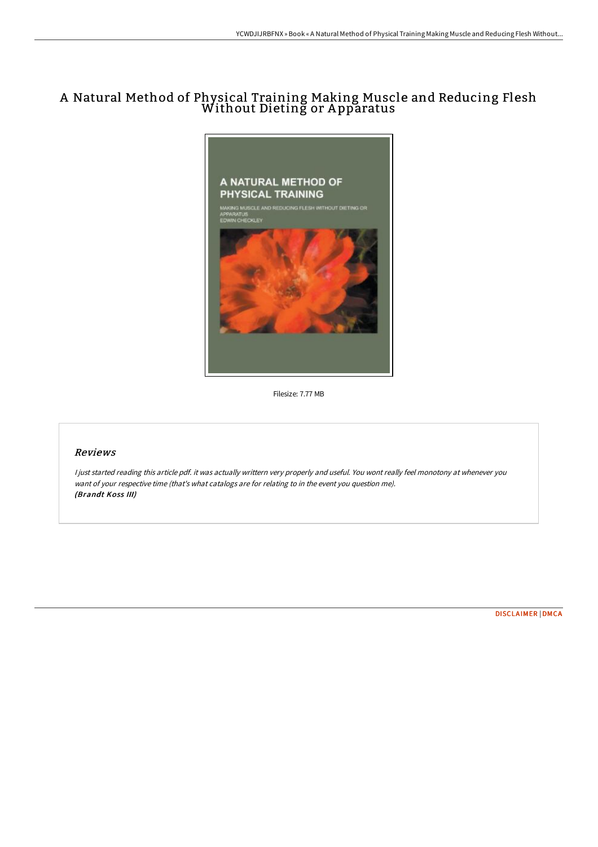## A Natural Method of Physical Training Making Muscle and Reducing Flesh Without Dieting or A pparatus



Filesize: 7.77 MB

## Reviews

<sup>I</sup> just started reading this article pdf. it was actually writtern very properly and useful. You wont really feel monotony at whenever you want of your respective time (that's what catalogs are for relating to in the event you question me). (Brandt Koss III)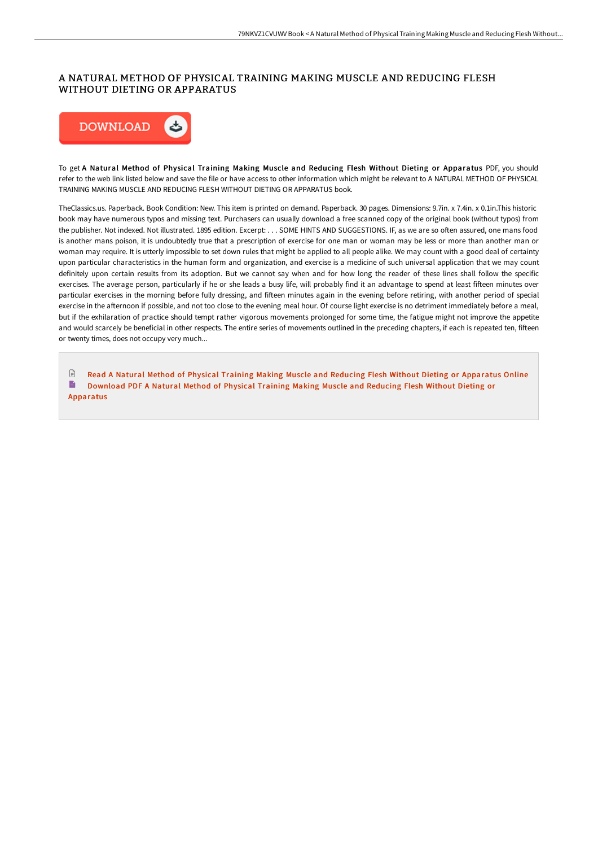## A NATURAL METHOD OF PHYSICAL TRAINING MAKING MUSCLE AND REDUCING FLESH WITHOUT DIETING OR APPARATUS



To get A Natural Method of Physical Training Making Muscle and Reducing Flesh Without Dieting or Apparatus PDF, you should refer to the web link listed below and save the file or have access to other information which might be relevant to A NATURAL METHOD OF PHYSICAL TRAINING MAKING MUSCLE AND REDUCING FLESH WITHOUT DIETING OR APPARATUS book.

TheClassics.us. Paperback. Book Condition: New. This item is printed on demand. Paperback. 30 pages. Dimensions: 9.7in. x 7.4in. x 0.1in.This historic book may have numerous typos and missing text. Purchasers can usually download a free scanned copy of the original book (without typos) from the publisher. Not indexed. Not illustrated. 1895 edition. Excerpt: . . . SOME HINTS AND SUGGESTIONS. IF, as we are so oGen assured, one mans food is another mans poison, it is undoubtedly true that a prescription of exercise for one man or woman may be less or more than another man or woman may require. It is utterly impossible to set down rules that might be applied to all people alike. We may count with a good deal of certainty upon particular characteristics in the human form and organization, and exercise is a medicine of such universal application that we may count definitely upon certain results from its adoption. But we cannot say when and for how long the reader of these lines shall follow the specific exercises. The average person, particularly if he or she leads a busy life, will probably find it an advantage to spend at least fifteen minutes over particular exercises in the morning before fully dressing, and fifteen minutes again in the evening before retiring, with another period of special exercise in the afternoon if possible, and not too close to the evening meal hour. Of course light exercise is no detriment immediately before a meal, but if the exhilaration of practice should tempt rather vigorous movements prolonged for some time, the fatigue might not improve the appetite and would scarcely be beneficial in other respects. The entire series of movements outlined in the preceding chapters, if each is repeated ten, fifteen or twenty times, does not occupy very much...

 $\Box$ Read A Natural Method of Physical Training Making Muscle and Reducing Flesh Without Dieting or [Apparatus](http://techno-pub.tech/a-natural-method-of-physical-training-making-mus.html) Online B Download PDF A Natural Method of Physical Training Making Muscle and Reducing Flesh Without Dieting or [Apparatus](http://techno-pub.tech/a-natural-method-of-physical-training-making-mus.html)